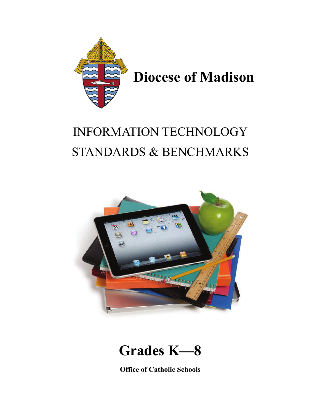

## INFORMATION TECHNOLOGY STANDARDS & BENCHMARKS



## **Grades K—8**

**Office of Catholic Schools**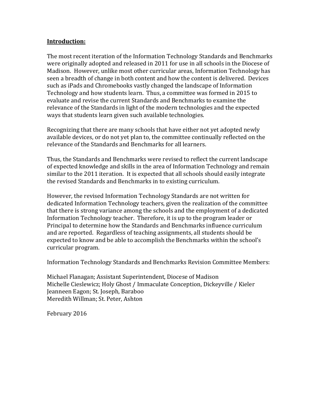## **Introduction:**

The most recent iteration of the Information Technology Standards and Benchmarks were originally adopted and released in 2011 for use in all schools in the Diocese of Madison. However, unlike most other curricular areas, Information Technology has seen a breadth of change in both content and how the content is delivered. Devices such as iPads and Chromebooks vastly changed the landscape of Information Technology and how students learn. Thus, a committee was formed in 2015 to evaluate and revise the current Standards and Benchmarks to examine the relevance of the Standards in light of the modern technologies and the expected ways that students learn given such available technologies.

Recognizing that there are many schools that have either not yet adopted newly available devices, or do not yet plan to, the committee continually reflected on the relevance of the Standards and Benchmarks for all learners.

Thus, the Standards and Benchmarks were revised to reflect the current landscape of expected knowledge and skills in the area of Information Technology and remain similar to the 2011 iteration. It is expected that all schools should easily integrate the revised Standards and Benchmarks in to existing curriculum.

However, the revised Information Technology Standards are not written for dedicated Information Technology teachers, given the realization of the committee that there is strong variance among the schools and the employment of a dedicated Information Technology teacher. Therefore, it is up to the program leader or Principal to determine how the Standards and Benchmarks influence curriculum and are reported. Regardless of teaching assignments, all students should be expected to know and be able to accomplish the Benchmarks within the school's curricular program.

Information Technology Standards and Benchmarks Revision Committee Members:

Michael Flanagan; Assistant Superintendent, Diocese of Madison Michelle Cieslewicz; Holy Ghost / Immaculate Conception, Dickeyville / Kieler Jeanneen Eagon; St. Joseph, Baraboo Meredith Willman; St. Peter, Ashton

February 2016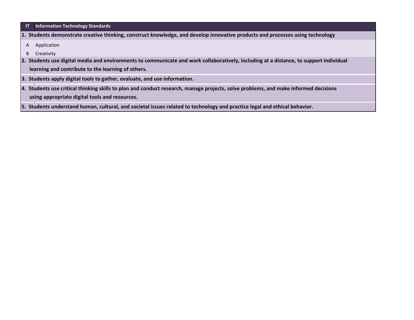|  | <b>IT</b> Information Technology Standards |  |  |  |
|--|--------------------------------------------|--|--|--|
|--|--------------------------------------------|--|--|--|

- **1. Students demonstrate creative thinking, construct knowledge, and develop innovative products and processes using technology**
	- A Application
- B Creativity
- **2. Students use digital media and environments to communicate and work collaboratively, including at a distance, to support individual**

 **learning and contribute to the learning of others.**

- **3. Students apply digital tools to gather, evaluate, and use information.**
- **using appropriate digital tools and resources. 4. Students use critical thinking skills to plan and conduct research, manage projects, solve problems, and make informed decisions**
- **5. Students understand human, cultural, and societal issues related to technology and practice legal and ethical behavior.**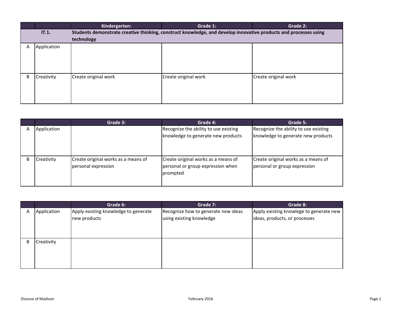|   |             | Kindergarten:        | Grade 1:                                                                                                         | Grade 2:             |
|---|-------------|----------------------|------------------------------------------------------------------------------------------------------------------|----------------------|
|   | IT.1.       |                      | Students demonstrate creative thinking, construct knowledge, and develop innovative products and processes using |                      |
|   |             | technology           |                                                                                                                  |                      |
| Α | Application |                      |                                                                                                                  |                      |
|   |             |                      |                                                                                                                  |                      |
|   |             |                      |                                                                                                                  |                      |
|   |             |                      |                                                                                                                  |                      |
| B | Creativity  | Create original work | Create original work                                                                                             | Create original work |
|   |             |                      |                                                                                                                  |                      |
|   |             |                      |                                                                                                                  |                      |
|   |             |                      |                                                                                                                  |                      |
|   |             |                      |                                                                                                                  |                      |

|   |             | Grade 3:                                                   | Grade 4:                                                                             | Grade 5:                                                                    |
|---|-------------|------------------------------------------------------------|--------------------------------------------------------------------------------------|-----------------------------------------------------------------------------|
| А | Application |                                                            | Recognize the ability to use existing<br>knowledge to generate new products          | Recognize the ability to use existing<br>knowledge to generate new products |
| в | Creativity  | Create original works as a means of<br>personal expression | Create original works as a means of<br>personal or group expression when<br>prompted | Create original works as a means of<br>personal or group expression         |

|   |             | Grade 6:                             | Grade 7:                            | Grade 8:                                |
|---|-------------|--------------------------------------|-------------------------------------|-----------------------------------------|
| Α | Application | Apply existing knowledge to generate | Recognize how to generate new ideas | Apply existing knowlege to generate new |
|   |             | new products                         | using existing knowledge            | ideas, products, or processes           |
|   |             |                                      |                                     |                                         |
|   |             |                                      |                                     |                                         |
| B | Creativity  |                                      |                                     |                                         |
|   |             |                                      |                                     |                                         |
|   |             |                                      |                                     |                                         |
|   |             |                                      |                                     |                                         |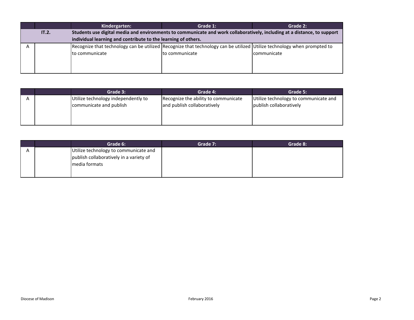|       | Kindergarten:                                                                                                            | Grade 1:       | Grade 2:    |  |
|-------|--------------------------------------------------------------------------------------------------------------------------|----------------|-------------|--|
| IT.2. | Students use digital media and environments to communicate and work collaboratively, including at a distance, to support |                |             |  |
|       | individual learning and contribute to the learning of others.                                                            |                |             |  |
|       | Recognize that technology can be utilized Recognize that technology can be utilized Utilize technology when prompted to  |                |             |  |
|       | Ito communicate                                                                                                          | to communicate | communicate |  |
|       |                                                                                                                          |                |             |  |
|       |                                                                                                                          |                |             |  |
|       |                                                                                                                          |                |             |  |

|  | Grade 3:                            | Grade 4:                             | Grade 5:                              |
|--|-------------------------------------|--------------------------------------|---------------------------------------|
|  | Utilize technology independently to | Recognize the ability to communicate | Utilize technology to communicate and |
|  | communicate and publish             | and publish collaboratively          | publish collaboratively               |
|  |                                     |                                      |                                       |
|  |                                     |                                      |                                       |
|  |                                     |                                      |                                       |

|   | Grade 6:                                | Grade 7: | Grade 8: |
|---|-----------------------------------------|----------|----------|
| A | Utilize technology to communicate and   |          |          |
|   | publish collaboratively in a variety of |          |          |
|   | media formats                           |          |          |
|   |                                         |          |          |
|   |                                         |          |          |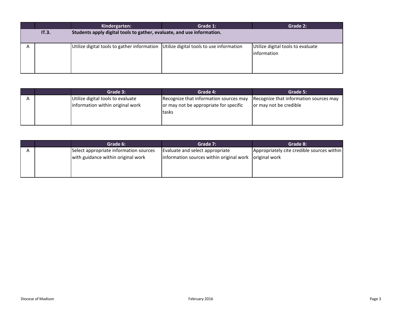|                                                                                 | Kindergarten:                                                                            | Grade 1: | Grade 2:                                         |
|---------------------------------------------------------------------------------|------------------------------------------------------------------------------------------|----------|--------------------------------------------------|
| Students apply digital tools to gather, evaluate, and use information.<br>IT.3. |                                                                                          |          |                                                  |
|                                                                                 | Utilize digital tools to gather information $ $ Utilize digital tools to use information |          | Utilize digital tools to evaluate<br>information |

|  | Grade 3:                          | Grade 4:                               | Grade 5:                               |
|--|-----------------------------------|----------------------------------------|----------------------------------------|
|  | Utilize digital tools to evaluate | Recognize that information sources may | Recognize that information sources may |
|  | information within original work  | or may not be appropriate for specific | or may not be credible                 |
|  |                                   | tasks                                  |                                        |
|  |                                   |                                        |                                        |
|  |                                   |                                        |                                        |

|  | Grade 6:                               | Grade 7:                                               | Grade 8:                                   |
|--|----------------------------------------|--------------------------------------------------------|--------------------------------------------|
|  | Select appropriate information sources | Evaluate and select appropriate                        | Appropriately cite credible sources within |
|  | with guidance within original work     | information sources within original work original work |                                            |
|  |                                        |                                                        |                                            |
|  |                                        |                                                        |                                            |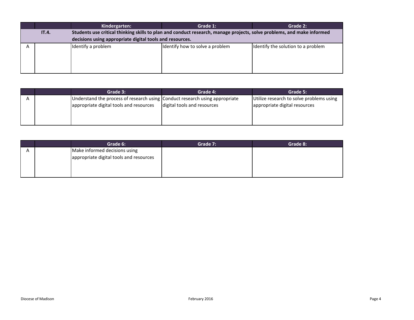|       | Kindergarten:                                                                                                          | Grade 1:                        | Grade 2:                           |
|-------|------------------------------------------------------------------------------------------------------------------------|---------------------------------|------------------------------------|
| IT.4. | Students use critical thinking skills to plan and conduct research, manage projects, solve problems, and make informed |                                 |                                    |
|       | decisions using appropriate digital tools and resources.                                                               |                                 |                                    |
|       | Identify a problem                                                                                                     | Identify how to solve a problem | Identify the solution to a problem |

|  | Grade 3:                                                                    | Grade 4:                    | Grade 5:                                 |
|--|-----------------------------------------------------------------------------|-----------------------------|------------------------------------------|
|  | Understand the process of research using Conduct research using appropriate |                             | Utilize research to solve problems using |
|  | appropriate digital tools and resources                                     | digital tools and resources | appropriate digital resources            |
|  |                                                                             |                             |                                          |
|  |                                                                             |                             |                                          |

|  | Grade 6:                                | Grade 7: | Grade 8: |
|--|-----------------------------------------|----------|----------|
|  | Make informed decisions using           |          |          |
|  | appropriate digital tools and resources |          |          |
|  |                                         |          |          |
|  |                                         |          |          |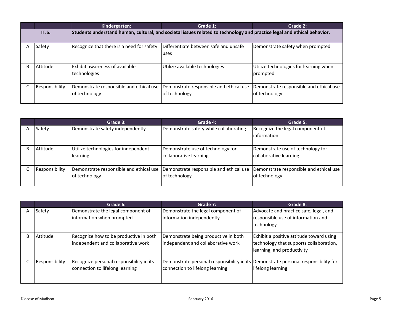|              |                | Kindergarten:                                                                                                           | Grade 1:                                                 | Grade 2:                                                 |
|--------------|----------------|-------------------------------------------------------------------------------------------------------------------------|----------------------------------------------------------|----------------------------------------------------------|
|              | IT.5.          | Students understand human, cultural, and societal issues related to technology and practice legal and ethical behavior. |                                                          |                                                          |
| А            | Safety         | Recognize that there is a need for safety                                                                               | Differentiate between safe and unsafe<br>uses            | Demonstrate safety when prompted                         |
| <sub>R</sub> | Attitude       | <b>IExhibit awareness of available</b><br>technologies                                                                  | Utilize available technologies                           | Utilize technologies for learning when<br>prompted       |
|              | Responsibility | Demonstrate responsible and ethical use<br>of technology                                                                | Demonstrate responsible and ethical use<br>of technology | Demonstrate responsible and ethical use<br>of technology |

|                | Grade 3:                                                 | Grade 4:                                                    | Grade 5:                                                    |
|----------------|----------------------------------------------------------|-------------------------------------------------------------|-------------------------------------------------------------|
| Safety         | Demonstrate safety independently                         | Demonstrate safety while collaborating                      | Recognize the legal component of<br><b>linformation</b>     |
| Attitude       | Utilize technologies for independent<br>learning         | Demonstrate use of technology for<br>collaborative learning | Demonstrate use of technology for<br>collaborative learning |
| Responsibility | Demonstrate responsible and ethical use<br>of technology | Demonstrate responsible and ethical use<br>of technology    | Demonstrate responsible and ethical use<br>of technology    |

|    |                | Grade 6:                                                                     | Grade 7:                                                                                                              | Grade 8:                                                                                                          |
|----|----------------|------------------------------------------------------------------------------|-----------------------------------------------------------------------------------------------------------------------|-------------------------------------------------------------------------------------------------------------------|
|    | Safety         | Demonstrate the legal component of<br>information when prompted              | Demonstrate the legal component of<br>information independently                                                       | Advocate and practice safe, legal, and<br>responsible use of information and<br>technology                        |
| B. | Attitude       | Recognize how to be productive in both<br>independent and collaborative work | Demonstrate being productive in both<br>independent and collaborative work                                            | Exhibit a positive attitude toward using<br>technology that supports collaboration,<br>learning, and productivity |
|    | Responsibility | Recognize personal responsibility in its<br>connection to lifelong learning  | Demonstrate personal responsibility in its Demonstrate personal responsibility for<br>connection to lifelong learning | lifelong learning                                                                                                 |